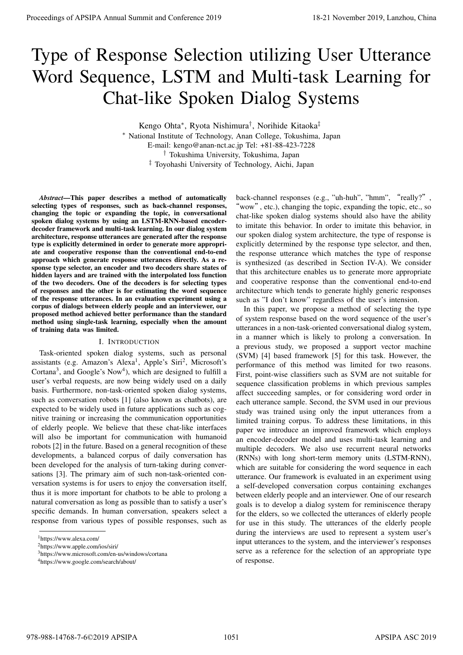# Type of Response Selection utilizing User Utterance Word Sequence, LSTM and Multi-task Learning for Chat-like Spoken Dialog Systems

Kengo Ohta*<sup>∗</sup>* , Ryota Nishimura*†* , Norihide Kitaoka*‡*

*<sup>∗</sup>* National Institute of Technology, Anan College, Tokushima, Japan E-mail: kengo@anan-nct.ac.jp Tel: +81-88-423-7228 *†* Tokushima University, Tokushima, Japan *‡* Toyohashi University of Technology, Aichi, Japan

*Abstract*—This paper describes a method of automatically selecting types of responses, such as back-channel responses, changing the topic or expanding the topic, in conversational spoken dialog systems by using an LSTM-RNN-based encoderdecoder framework and multi-task learning. In our dialog system architecture, response utterances are generated after the response type is explicitly determined in order to generate more appropriate and cooperative response than the conventional end-to-end approach which generate response utterances directly. As a response type selector, an encoder and two decoders share states of hidden layers and are trained with the interpolated loss function of the two decoders. One of the decoders is for selecting types of responses and the other is for estimating the word sequence of the response utterances. In an evaluation experiment using a corpus of dialogs between elderly people and an interviewer, our proposed method achieved better performance than the standard method using single-task learning, especially when the amount of training data was limited.

# I. INTRODUCTION

Task-oriented spoken dialog systems, such as personal assistants (e.g. Amazon's Alexa<sup>1</sup>, Apple's Siri<sup>2</sup>, Microsoft's Cortana<sup>3</sup>, and Google's Now<sup>4</sup>), which are designed to fulfill a user's verbal requests, are now being widely used on a daily basis. Furthermore, non-task-oriented spoken dialog systems, such as conversation robots [1] (also known as chatbots), are expected to be widely used in future applications such as cognitive training or increasing the communication opportunities of elderly people. We believe that these chat-like interfaces will also be important for communication with humanoid robots [2] in the future. Based on a general recognition of these developments, a balanced corpus of daily conversation has been developed for the analysis of turn-taking during conversations [3]. The primary aim of such non-task-oriented conversation systems is for users to enjoy the conversation itself, thus it is more important for chatbots to be able to prolong a natural conversation as long as possible than to satisfy a user's specific demands. In human conversation, speakers select a response from various types of possible responses, such as

back-channel responses (e.g., "uh-huh", "hmm", "really?", "wow", etc.), changing the topic, expanding the topic, etc., so chat-like spoken dialog systems should also have the ability to imitate this behavior. In order to imitate this behavior, in our spoken dialog system architecture, the type of response is explicitly determined by the response type selector, and then, the response utterance which matches the type of response is synthesized (as described in Section IV-A). We consider that this architecture enables us to generate more appropriate and cooperative response than the conventional end-to-end architecture which tends to generate highly generic responses such as "I don't know" regardless of the user's intension.

In this paper, we propose a method of selecting the type of system response based on the word sequence of the user's utterances in a non-task-oriented conversational dialog system, in a manner which is likely to prolong a conversation. In a previous study, we proposed a support vector machine (SVM) [4] based framework [5] for this task. However, the performance of this method was limited for two reasons. First, point-wise classifiers such as SVM are not suitable for sequence classification problems in which previous samples affect succeeding samples, or for considering word order in each utterance sample. Second, the SVM used in our previous study was trained using only the input utterances from a limited training corpus. To address these limitations, in this paper we introduce an improved framework which employs an encoder-decoder model and uses multi-task learning and multiple decoders. We also use recurrent neural networks (RNNs) with long short-term memory units (LSTM-RNN), which are suitable for considering the word sequence in each utterance. Our framework is evaluated in an experiment using a self-developed conversation corpus containing exchanges between elderly people and an interviewer. One of our research goals is to develop a dialog system for reminiscence therapy for the elders, so we collected the utterances of elderly people for use in this study. The utterances of the elderly people during the interviews are used to represent a system user's input utterances to the system, and the interviewer's responses serve as a reference for the selection of an appropriate type of response. Proceedings of APSIPA Annual Summit at Conference 2019<br>
Type of Responses Selection utilizing User Utterance 2020<br>
World September 2020<br>
China 2020 2021 Annual Summit and Multi-task Learning for<br>  $\frac{1}{2}$  the summit and

<sup>1</sup>https://www.alexa.com/

<sup>2</sup>https://www.apple.com/ios/siri/

<sup>3</sup>https://www.microsoft.com/en-us/windows/cortana

<sup>4</sup>https://www.google.com/search/about/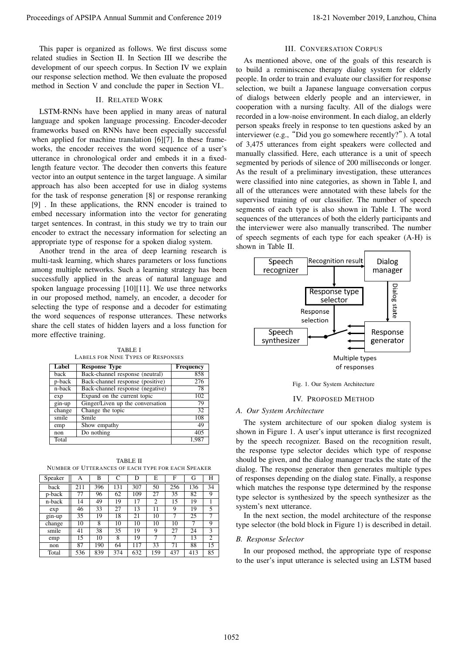This paper is organized as follows. We first discuss some related studies in Section II. In Section III we describe the development of our speech corpus. In Section IV we explain our response selection method. We then evaluate the proposed method in Section V and conclude the paper in Section VI..

# II. RELATED WORK

LSTM-RNNs have been applied in many areas of natural language and spoken language processing. Encoder-decoder frameworks based on RNNs have been especially successful when applied for machine translation [6][7]. In these frameworks, the encoder receives the word sequence of a user's utterance in chronological order and embeds it in a fixedlength feature vector. The decoder then converts this feature vector into an output sentence in the target language. A similar approach has also been accepted for use in dialog systems for the task of response generation [8] or response reranking [9] . In these applications, the RNN encoder is trained to embed necessary information into the vector for generating target sentences. In contrast, in this study we try to train our encoder to extract the necessary information for selecting an appropriate type of response for a spoken dialog system.

Another trend in the area of deep learning research is multi-task learning, which shares parameters or loss functions among multiple networks. Such a learning strategy has been successfully applied in the areas of natural language and spoken language processing [10][11]. We use three networks in our proposed method, namely, an encoder, a decoder for selecting the type of response and a decoder for estimating the word sequences of response utterances. These networks share the cell states of hidden layers and a loss function for more effective training.

TABLE I LABELS FOR NINE TYPES OF RESPONSES

| <b>Label</b>               | <b>Response Type</b>             | <b>Frequency</b> |
|----------------------------|----------------------------------|------------------|
| back                       | Back-channel response (neutral)  | 858              |
| p-back                     | Back-channel response (positive) | 276              |
| $n$ -back                  | Back-channel response (negative) | 78               |
| exp                        | Expand on the current topic      | 102              |
| $\overline{\text{gin-up}}$ | Ginger/Liven up the conversation | 79               |
| change                     | Change the topic                 | 32               |
| smile                      | Smile                            | 108              |
| emp                        | Show empathy                     | 49               |
| non                        | Do nothing                       | 405              |
| Total                      |                                  | 1.987            |

TABLE II NUMBER OF UTTERANCES OF EACH TYPE FOR EACH SPEAKER

| Speaker  | А   | В   | $\mathcal{C}$ | D   | E              | F   | G   | н  |
|----------|-----|-----|---------------|-----|----------------|-----|-----|----|
| back     | 211 | 396 | 131           | 307 | 50             | 256 | 136 | 34 |
| p-back   | 77  | 96  | 62            | 109 | 27             | 35  | 82  | 9  |
| n-back   | 14  | 49  | 19            | 17  | $\overline{c}$ | 15  | 19  |    |
| exp      | 46  | 33  | 27            | 13  | 11             | 9   | 19  | 5  |
| $gin-up$ | 35  | 19  | 18            | 21  | 10             | 7   | 25  |    |
| change   | 10  | 8   | 10            | 10  | 10             | 10  | 7   | 9  |
| smile    | 41  | 38  | 35            | 19  | 9              | 27  | 24  | 3  |
| emp      | 15  | 10  | 8             | 19  | 7              | 7   | 13  | 2  |
| non      | 87  | 190 | 64            | 117 | 33             | 71  | 88  | 15 |
| Total    | 536 | 839 | 374           | 632 | 159            | 437 | 413 | 85 |

## III. CONVERSATION CORPUS

As mentioned above, one of the goals of this research is to build a reminiscence therapy dialog system for elderly people. In order to train and evaluate our classifier for response selection, we built a Japanese language conversation corpus of dialogs between elderly people and an interviewer, in cooperation with a nursing faculty. All of the dialogs were recorded in a low-noise environment. In each dialog, an elderly person speaks freely in response to ten questions asked by an interviewer (e.g., "Did you go somewhere recently?"). A total of 3,475 utterances from eight speakers were collected and manually classified. Here, each utterance is a unit of speech segmented by periods of silence of 200 milliseconds or longer. As the result of a preliminary investigation, these utterances were classified into nine categories, as shown in Table I, and all of the utterances were annotated with these labels for the supervised training of our classifier. The number of speech segments of each type is also shown in Table I. The word sequences of the utterances of both the elderly participants and the interviewer were also manually transcribed. The number of speech segments of each type for each speaker (A-H) is shown in Table II. Proceedings of APSIPA Annual Summit at China 2019, Lanzhou, 2019<br>
This pape 1. Furthermore and Conference 2019, Langham and The Conference 2019, Langham and The Conference 2019, Langham and The Conference 2019, Langham an





#### IV. PROPOSED METHOD

# *A. Our System Architecture*

The system architecture of our spoken dialog system is shown in Figure 1. A user's input utterance is first recognized by the speech recognizer. Based on the recognition result, the response type selector decides which type of response should be given, and the dialog manager tracks the state of the dialog. The response generator then generates multiple types of responses depending on the dialog state. Finally, a response which matches the response type determined by the response type selector is synthesized by the speech synthesizer as the system's next utterance.

In the next section, the model architecture of the response type selector (the bold block in Figure 1) is described in detail.

#### *B. Response Selector*

In our proposed method, the appropriate type of response to the user's input utterance is selected using an LSTM based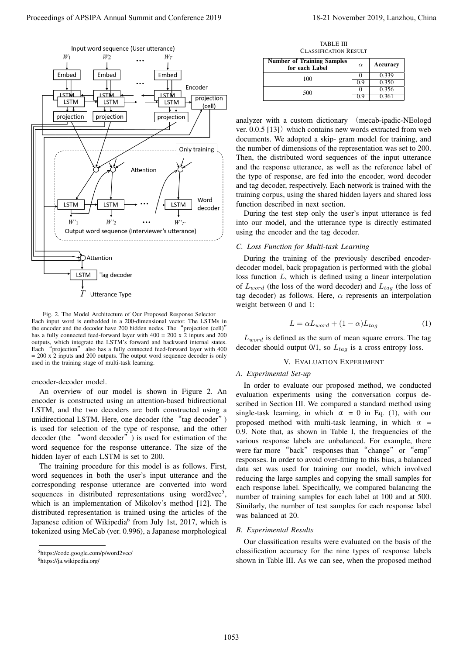

Fig. 2. The Model Architecture of Our Proposed Response Selector Each input word is embedded in a 200-dimensional vector. The LSTMs in the encoder and the decoder have 200 hidden nodes. The "projection (cell)" has a fully connected feed-forward layer with 400 = 200 x 2 inputs and 200 outputs, which integrate the LSTM's forward and backward internal states. Each "projection" also has a fully connected feed-forward layer with 400  $= 200 \times 2$  inputs and 200 outputs. The output word sequence decoder is only used in the training stage of multi-task learning.

encoder-decoder model.

An overview of our model is shown in Figure 2. An encoder is constructed using an attention-based bidirectional LSTM, and the two decoders are both constructed using a unidirectional LSTM. Here, one decoder (the "tag decoder") is used for selection of the type of response, and the other decoder (the "word decoder") is used for estimation of the word sequence for the response utterance. The size of the hidden layer of each LSTM is set to 200.

The training procedure for this model is as follows. First, word sequences in both the user's input utterance and the corresponding response utterance are converted into word sequences in distributed representations using word2vec<sup>5</sup>, which is an implementation of Mikolov's method [12]. The distributed representation is trained using the articles of the Japanese edition of Wikipedia<sup>6</sup> from July 1st, 2017, which is tokenized using MeCab (ver. 0.996), a Japanese morphological

TABLE III CLASSIFICATION RESULT

| <b>Number of Training Samples</b><br>for each Label | $\alpha$ | Accuracy |
|-----------------------------------------------------|----------|----------|
| 100                                                 |          | 0.339    |
|                                                     | 0 Y      | 0.350    |
| 500                                                 |          | 0.356    |
|                                                     |          | በ 361    |

analyzer with a custom dictionary (mecab-ipadic-NEologd ver.  $0.0.5$  [13]) which contains new words extracted from web documents. We adopted a skip- gram model for training, and the number of dimensions of the representation was set to 200. Then, the distributed word sequences of the input utterance and the response utterance, as well as the reference label of the type of response, are fed into the encoder, word decoder and tag decoder, respectively. Each network is trained with the training corpus, using the shared hidden layers and shared loss function described in next section.

During the test step only the user's input utterance is fed into our model, and the utterance type is directly estimated using the encoder and the tag decoder.

# *C. Loss Function for Multi-task Learning*

During the training of the previously described encoderdecoder model, back propagation is performed with the global loss function *L*, which is defined using a linear interpolation of  $L_{word}$  (the loss of the word decoder) and  $L_{tag}$  (the loss of tag decoder) as follows. Here, *α* represents an interpolation weight between 0 and 1:

$$
L = \alpha L_{word} + (1 - \alpha) L_{tag}
$$
 (1)

*Lword* is defined as the sum of mean square errors. The tag decoder should output 0/1, so *Ltag* is a cross entropy loss.

### V. EVALUATION EXPERIMENT

## *A. Experimental Set-up*

In order to evaluate our proposed method, we conducted evaluation experiments using the conversation corpus described in Section III. We compared a standard method using single-task learning, in which  $\alpha = 0$  in Eq. (1), with our proposed method with multi-task learning, in which  $\alpha$  = 0.9. Note that, as shown in Table I, the frequencies of the various response labels are unbalanced. For example, there were far more "back" responses than "change" or "emp" responses. In order to avoid over-fitting to this bias, a balanced data set was used for training our model, which involved reducing the large samples and copying the small samples for each response label. Specifically, we compared balancing the number of training samples for each label at 100 and at 500. Similarly, the number of test samples for each response label was balanced at 20.

#### *B. Experimental Results*

Our classification results were evaluated on the basis of the classification accuracy for the nine types of response labels shown in Table III. As we can see, when the proposed method

<sup>5</sup>https://code.google.com/p/word2vec/

<sup>6</sup>https://ja.wikipedia.org/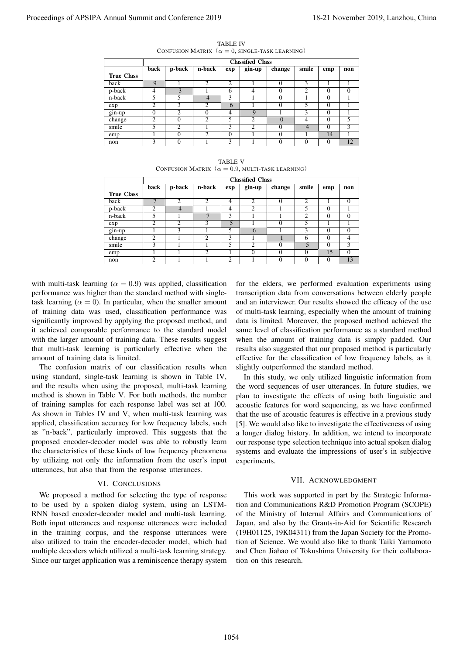|                   | <b>Classified Class</b> |                |                |                |                |          |          |          |               |  |  |
|-------------------|-------------------------|----------------|----------------|----------------|----------------|----------|----------|----------|---------------|--|--|
|                   | back                    | p-back         | n-back         | exp            | gin-up         | change   | smile    | emp      | non           |  |  |
| <b>True Class</b> |                         |                |                |                |                |          |          |          |               |  |  |
| back              | $\mathbf Q$             |                | $\overline{2}$ | $\overline{c}$ |                | $\Omega$ | 3        |          |               |  |  |
| p-back            | 4                       | 3              |                | 6              | 4              | $\Omega$ | 2        | 0        | $\Omega$      |  |  |
| n-back            | 5                       | 5              | 4              | 3              |                | $\Omega$ |          | $\Omega$ |               |  |  |
| exp               | $\mathcal{D}$           | 3              | $\overline{c}$ | 6              |                | 0        | 5        | $\theta$ |               |  |  |
| gin-up            |                         | $\overline{c}$ | 0              | 4              | 9              |          | 3        | 0        |               |  |  |
| change            | ↑                       | $\Omega$       | $\overline{c}$ | 5              | $\overline{c}$ | $\Omega$ | 4        | 0        | 5             |  |  |
| smile             | 5                       | $\mathfrak{D}$ |                | 3              | $\overline{c}$ | $\theta$ | 4        | $\theta$ | $\mathcal{F}$ |  |  |
| emp               |                         | $\Omega$       | $\mathcal{D}$  | $\theta$       |                | $\Omega$ |          | 14       |               |  |  |
| non               | 3                       | $\Omega$       |                | 3              |                | $\Omega$ | $\Omega$ | $\Omega$ | 12            |  |  |

TABLE IV CONFUSION MATRIX  $(\alpha = 0, \text{SINGLE-TASK LEARNING})$ 

| <b>TABLE V</b> |                                                               |  |  |  |  |  |  |  |  |
|----------------|---------------------------------------------------------------|--|--|--|--|--|--|--|--|
|                | CONFUSION MATRIX $(\alpha = 0.9, \text{MULTI-TASK LEARNING})$ |  |  |  |  |  |  |  |  |

| Proceedings of APSIPA Annual Summit and Conference 2019                                                                                                                                                                                                                                                                                                                                                                                                                                                                                                                                                                                                                                                                                                                                                                                                                                                                                                                                                    |                   |                                  |                                                               |                                |                                  |                                   |                                            |                                  |                     |                                             | 18-21 November 2019, Lanzhou, China                                                                                                                                                                                                                                                                                                                                                                                                                                                                                                                                                                                                                                                                                                                                                                                                                                         |  |
|------------------------------------------------------------------------------------------------------------------------------------------------------------------------------------------------------------------------------------------------------------------------------------------------------------------------------------------------------------------------------------------------------------------------------------------------------------------------------------------------------------------------------------------------------------------------------------------------------------------------------------------------------------------------------------------------------------------------------------------------------------------------------------------------------------------------------------------------------------------------------------------------------------------------------------------------------------------------------------------------------------|-------------------|----------------------------------|---------------------------------------------------------------|--------------------------------|----------------------------------|-----------------------------------|--------------------------------------------|----------------------------------|---------------------|---------------------------------------------|-----------------------------------------------------------------------------------------------------------------------------------------------------------------------------------------------------------------------------------------------------------------------------------------------------------------------------------------------------------------------------------------------------------------------------------------------------------------------------------------------------------------------------------------------------------------------------------------------------------------------------------------------------------------------------------------------------------------------------------------------------------------------------------------------------------------------------------------------------------------------------|--|
|                                                                                                                                                                                                                                                                                                                                                                                                                                                                                                                                                                                                                                                                                                                                                                                                                                                                                                                                                                                                            |                   |                                  | CONFUSION MATRIX $(\alpha = 0, \text{SINGLE-TASK LEARNING})$  |                                | <b>TABLE IV</b>                  |                                   |                                            |                                  |                     |                                             |                                                                                                                                                                                                                                                                                                                                                                                                                                                                                                                                                                                                                                                                                                                                                                                                                                                                             |  |
|                                                                                                                                                                                                                                                                                                                                                                                                                                                                                                                                                                                                                                                                                                                                                                                                                                                                                                                                                                                                            | <b>True Class</b> | back                             | p-back                                                        | n-back                         | exp                              | <b>Classified Class</b><br>gin-up | change                                     | smile                            | emp                 | non                                         |                                                                                                                                                                                                                                                                                                                                                                                                                                                                                                                                                                                                                                                                                                                                                                                                                                                                             |  |
|                                                                                                                                                                                                                                                                                                                                                                                                                                                                                                                                                                                                                                                                                                                                                                                                                                                                                                                                                                                                            | back<br>p-back    | 9<br>4                           | 1<br>$\mathfrak{Z}$                                           | $\overline{2}$<br>1            | $\overline{2}$<br>6              | 1<br>$\overline{4}$               | $\boldsymbol{0}$<br>0                      | 3<br>$\overline{2}$              | 1<br>$\overline{0}$ | 1<br>$\boldsymbol{0}$                       |                                                                                                                                                                                                                                                                                                                                                                                                                                                                                                                                                                                                                                                                                                                                                                                                                                                                             |  |
|                                                                                                                                                                                                                                                                                                                                                                                                                                                                                                                                                                                                                                                                                                                                                                                                                                                                                                                                                                                                            | n-back            | 5                                | 5                                                             | $\overline{4}$                 | $\overline{\mathbf{3}}$          | $\mathbf{1}$                      | $\overline{0}$                             | $\mathbf{1}$                     | $\boldsymbol{0}$    | 1                                           |                                                                                                                                                                                                                                                                                                                                                                                                                                                                                                                                                                                                                                                                                                                                                                                                                                                                             |  |
|                                                                                                                                                                                                                                                                                                                                                                                                                                                                                                                                                                                                                                                                                                                                                                                                                                                                                                                                                                                                            | exp               | $\overline{\mathbf{c}}$          | 3                                                             | 2                              | 6                                | $\mathbf{1}$                      | $\boldsymbol{0}$                           | 5                                | $\boldsymbol{0}$    | $\mathbf{1}$                                |                                                                                                                                                                                                                                                                                                                                                                                                                                                                                                                                                                                                                                                                                                                                                                                                                                                                             |  |
|                                                                                                                                                                                                                                                                                                                                                                                                                                                                                                                                                                                                                                                                                                                                                                                                                                                                                                                                                                                                            | gin-up            | $\overline{0}$                   | $\overline{2}$                                                | $\overline{0}$                 | $\overline{4}$                   | 9                                 | $\mathbf{1}$                               | $\overline{3}$                   | $\boldsymbol{0}$    | $\mathbf{1}$                                |                                                                                                                                                                                                                                                                                                                                                                                                                                                                                                                                                                                                                                                                                                                                                                                                                                                                             |  |
|                                                                                                                                                                                                                                                                                                                                                                                                                                                                                                                                                                                                                                                                                                                                                                                                                                                                                                                                                                                                            | change            | $\overline{2}$                   | $\boldsymbol{0}$                                              | $\overline{c}$                 | 5                                | $\overline{2}$                    | $\mathbf{0}$                               | $\overline{4}$                   | $\mathbf{0}$        | 5                                           |                                                                                                                                                                                                                                                                                                                                                                                                                                                                                                                                                                                                                                                                                                                                                                                                                                                                             |  |
|                                                                                                                                                                                                                                                                                                                                                                                                                                                                                                                                                                                                                                                                                                                                                                                                                                                                                                                                                                                                            | smile             | 5<br>$\mathbf{1}$                | $\overline{\mathbf{c}}$<br>$\boldsymbol{0}$                   | 1<br>$\overline{c}$            | 3<br>$\boldsymbol{0}$            | 2<br>1                            | 0<br>$\boldsymbol{0}$                      | $\overline{4}$<br>$\mathbf{1}$   | $\mathbf{0}$<br>14  | 3<br>$\mathbf{1}$                           |                                                                                                                                                                                                                                                                                                                                                                                                                                                                                                                                                                                                                                                                                                                                                                                                                                                                             |  |
|                                                                                                                                                                                                                                                                                                                                                                                                                                                                                                                                                                                                                                                                                                                                                                                                                                                                                                                                                                                                            | emp<br>non        | 3                                | $\mathbf{0}$                                                  | 1                              | 3                                | 1                                 | $\overline{0}$                             | $\overline{0}$                   | $\overline{0}$      | 12                                          |                                                                                                                                                                                                                                                                                                                                                                                                                                                                                                                                                                                                                                                                                                                                                                                                                                                                             |  |
|                                                                                                                                                                                                                                                                                                                                                                                                                                                                                                                                                                                                                                                                                                                                                                                                                                                                                                                                                                                                            |                   |                                  |                                                               |                                | <b>TABLE V</b>                   |                                   |                                            |                                  |                     |                                             |                                                                                                                                                                                                                                                                                                                                                                                                                                                                                                                                                                                                                                                                                                                                                                                                                                                                             |  |
|                                                                                                                                                                                                                                                                                                                                                                                                                                                                                                                                                                                                                                                                                                                                                                                                                                                                                                                                                                                                            |                   |                                  | CONFUSION MATRIX $(\alpha = 0.9, \text{MULTI-TASK LEARNING})$ |                                |                                  | <b>Classified Class</b>           |                                            |                                  |                     |                                             |                                                                                                                                                                                                                                                                                                                                                                                                                                                                                                                                                                                                                                                                                                                                                                                                                                                                             |  |
|                                                                                                                                                                                                                                                                                                                                                                                                                                                                                                                                                                                                                                                                                                                                                                                                                                                                                                                                                                                                            | <b>True Class</b> | back                             | p-back                                                        | n-back                         | exp                              | gin-up                            | change                                     | smile                            | emp                 | non                                         |                                                                                                                                                                                                                                                                                                                                                                                                                                                                                                                                                                                                                                                                                                                                                                                                                                                                             |  |
|                                                                                                                                                                                                                                                                                                                                                                                                                                                                                                                                                                                                                                                                                                                                                                                                                                                                                                                                                                                                            | back              | $\overline{7}$                   | 2                                                             | $\overline{c}$                 | $\overline{4}$<br>$\overline{4}$ | 2<br>$\overline{2}$               | 0                                          | $\overline{c}$<br>$\overline{5}$ | 1<br>$\mathbf{0}$   | $\boldsymbol{0}$                            |                                                                                                                                                                                                                                                                                                                                                                                                                                                                                                                                                                                                                                                                                                                                                                                                                                                                             |  |
|                                                                                                                                                                                                                                                                                                                                                                                                                                                                                                                                                                                                                                                                                                                                                                                                                                                                                                                                                                                                            | p-back<br>n-back  | $\overline{c}$<br>5              | $\overline{4}$<br>1                                           | $\mathbf{1}$<br>$\overline{7}$ | $\overline{\mathbf{3}}$          | $\mathbf{1}$                      | $\mathbf{1}$<br>1                          | $\overline{2}$                   | $\boldsymbol{0}$    | 1<br>$\boldsymbol{0}$                       |                                                                                                                                                                                                                                                                                                                                                                                                                                                                                                                                                                                                                                                                                                                                                                                                                                                                             |  |
|                                                                                                                                                                                                                                                                                                                                                                                                                                                                                                                                                                                                                                                                                                                                                                                                                                                                                                                                                                                                            | exp               | $\overline{2}$                   | $\overline{2}$                                                | 3                              | $\overline{5}$                   | $\mathbf{1}$                      | $\boldsymbol{0}$                           | 5                                | 1                   | $\mathbf{1}$                                |                                                                                                                                                                                                                                                                                                                                                                                                                                                                                                                                                                                                                                                                                                                                                                                                                                                                             |  |
|                                                                                                                                                                                                                                                                                                                                                                                                                                                                                                                                                                                                                                                                                                                                                                                                                                                                                                                                                                                                            | $gin-up$          | 1                                | 3                                                             | $\mathbf{1}$                   | 5                                | 6                                 | 1                                          | $\overline{\mathbf{3}}$          | 0                   | $\overline{0}$                              |                                                                                                                                                                                                                                                                                                                                                                                                                                                                                                                                                                                                                                                                                                                                                                                                                                                                             |  |
|                                                                                                                                                                                                                                                                                                                                                                                                                                                                                                                                                                                                                                                                                                                                                                                                                                                                                                                                                                                                            | change            | $\overline{2}$                   | $\overline{1}$                                                | $\overline{2}$                 | $\overline{3}$                   | $\mathbf{1}$                      | $\mathbf{1}$                               | $\overline{6}$                   | $\mathbf{0}$        | $\overline{4}$                              |                                                                                                                                                                                                                                                                                                                                                                                                                                                                                                                                                                                                                                                                                                                                                                                                                                                                             |  |
|                                                                                                                                                                                                                                                                                                                                                                                                                                                                                                                                                                                                                                                                                                                                                                                                                                                                                                                                                                                                            | smile             | $\overline{3}$                   | $\mathbf{1}$                                                  | $\mathbf{1}$<br>$\overline{2}$ | $\overline{5}$                   | $\overline{2}$<br>$\overline{0}$  | 0                                          | 5                                | $\overline{0}$      | $\overline{\overline{3}}$<br>$\overline{0}$ |                                                                                                                                                                                                                                                                                                                                                                                                                                                                                                                                                                                                                                                                                                                                                                                                                                                                             |  |
|                                                                                                                                                                                                                                                                                                                                                                                                                                                                                                                                                                                                                                                                                                                                                                                                                                                                                                                                                                                                            | emp<br>non        | $\overline{1}$<br>$\overline{2}$ | $\overline{1}$<br>1                                           | $\mathbf{1}$                   | $\mathbf{1}$<br>$\overline{2}$   | $\mathbf{1}$                      | $\overline{0}$<br>$\overline{0}$           | $\overline{0}$<br>$\Omega$       | 15<br>$\mathbf{0}$  | 13                                          |                                                                                                                                                                                                                                                                                                                                                                                                                                                                                                                                                                                                                                                                                                                                                                                                                                                                             |  |
| with multi-task learning ( $\alpha = 0.9$ ) was applied, classification<br>performance was higher than the standard method with single-<br>task learning ( $\alpha = 0$ ). In particular, when the smaller amount<br>of training data was used, classification performance was<br>significantly improved by applying the proposed method, and                                                                                                                                                                                                                                                                                                                                                                                                                                                                                                                                                                                                                                                              |                   |                                  |                                                               |                                |                                  |                                   |                                            |                                  |                     |                                             | for the elders, we performed evaluation experiments using<br>transcription data from conversations between elderly people<br>and an interviewer. Our results showed the efficacy of the use<br>of multi-task learning, especially when the amount of training<br>data is limited. Moreover, the proposed method achieved the                                                                                                                                                                                                                                                                                                                                                                                                                                                                                                                                                |  |
| it achieved comparable performance to the standard model<br>with the larger amount of training data. These results suggest<br>that multi-task learning is particularly effective when the<br>amount of training data is limited.<br>The confusion matrix of our classification results when<br>using standard, single-task learning is shown in Table IV,<br>and the results when using the proposed, multi-task learning<br>method is shown in Table V. For both methods, the number<br>of training samples for each response label was set at 100.<br>As shown in Tables IV and V, when multi-task learning was<br>applied, classification accuracy for low frequency labels, such<br>as "n-back", particularly improved. This suggests that the<br>proposed encoder-decoder model was able to robustly learn<br>the characteristics of these kinds of low frequency phenomena<br>by utilizing not only the information from the user's input<br>utterances, but also that from the response utterances. | VI. CONCLUSIONS   |                                  |                                                               |                                |                                  | experiments.                      | slightly outperformed the standard method. |                                  |                     | VII. ACKNOWLEDGMENT                         | same level of classification performance as a standard method<br>when the amount of training data is simply padded. Our<br>results also suggested that our proposed method is particularly<br>effective for the classification of low frequency labels, as it<br>In this study, we only utilized linguistic information from<br>the word sequences of user utterances. In future studies, we<br>plan to investigate the effects of using both linguistic and<br>acoustic features for word sequencing, as we have confirmed<br>that the use of acoustic features is effective in a previous study<br>[5]. We would also like to investigate the effectiveness of using<br>a longer dialog history. In addition, we intend to incorporate<br>our response type selection technique into actual spoken dialog<br>systems and evaluate the impressions of user's in subjective |  |
|                                                                                                                                                                                                                                                                                                                                                                                                                                                                                                                                                                                                                                                                                                                                                                                                                                                                                                                                                                                                            |                   |                                  |                                                               |                                |                                  |                                   |                                            |                                  |                     |                                             |                                                                                                                                                                                                                                                                                                                                                                                                                                                                                                                                                                                                                                                                                                                                                                                                                                                                             |  |
| We proposed a method for selecting the type of response<br>to be used by a spoken dialog system, using an LSTM-<br>RNN based encoder-decoder model and multi-task learning.<br>Both input utterances and response utterances were included<br>in the training corpus, and the response utterances were<br>also utilized to train the encoder-decoder model, which had<br>multiple decoders which utilized a multi-task learning strategy.<br>Since our target application was a reminiscence therapy system                                                                                                                                                                                                                                                                                                                                                                                                                                                                                                |                   |                                  |                                                               |                                |                                  |                                   | tion on this research.                     |                                  |                     |                                             | This work was supported in part by the Strategic Informa-<br>tion and Communications R&D Promotion Program (SCOPE)<br>of the Ministry of Internal Affairs and Communications of<br>Japan, and also by the Grants-in-Aid for Scientific Research<br>(19H01125, 19K04311) from the Japan Society for the Promo-<br>tion of Science. We would also like to thank Taiki Yamamoto<br>and Chen Jiahao of Tokushima University for their collabora-                                                                                                                                                                                                                                                                                                                                                                                                                                |  |
|                                                                                                                                                                                                                                                                                                                                                                                                                                                                                                                                                                                                                                                                                                                                                                                                                                                                                                                                                                                                            |                   |                                  |                                                               |                                | 1054                             |                                   |                                            |                                  |                     |                                             |                                                                                                                                                                                                                                                                                                                                                                                                                                                                                                                                                                                                                                                                                                                                                                                                                                                                             |  |

# VI. CONCLUSIONS

### VII. ACKNOWLEDGMENT